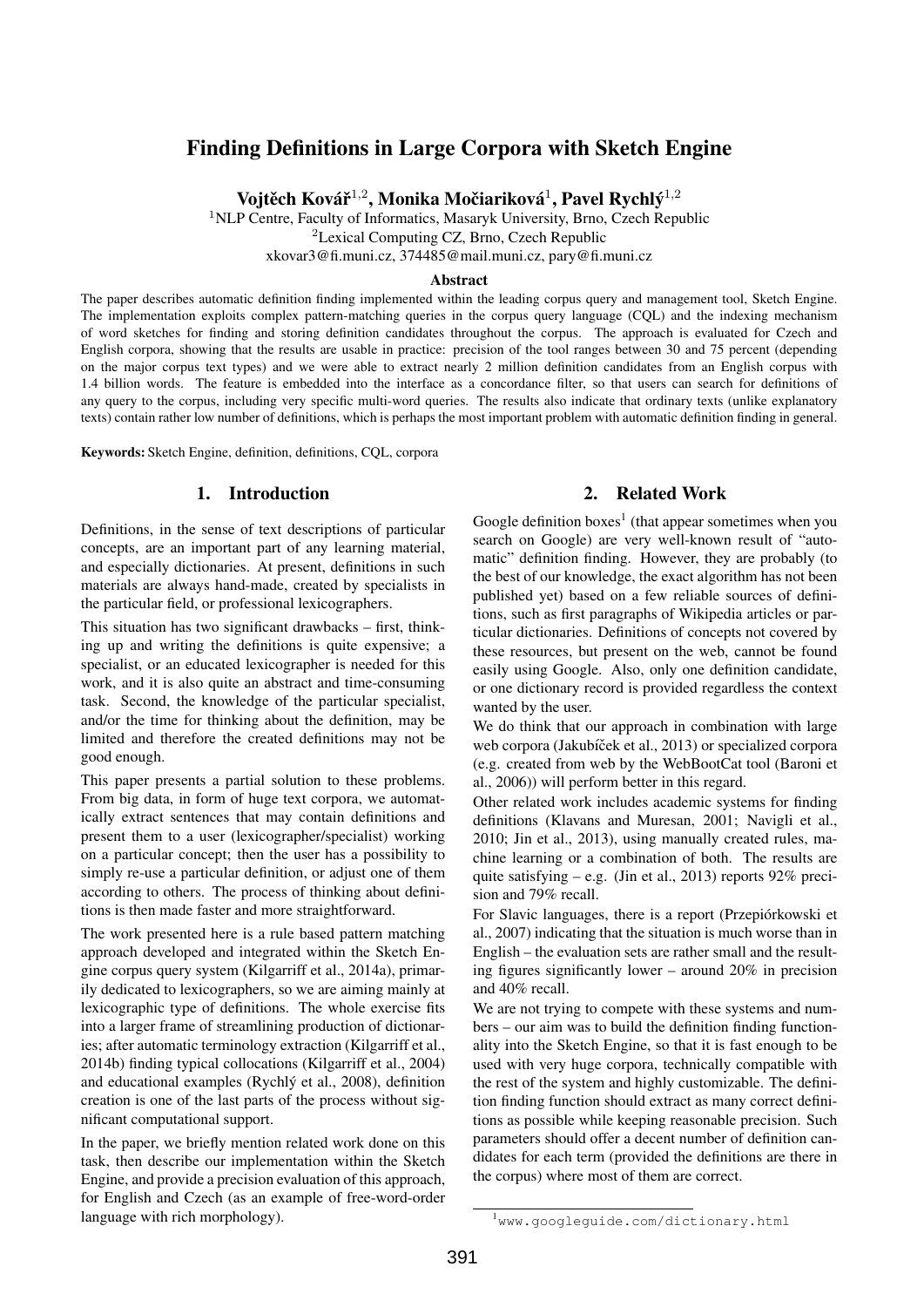# Finding Definitions in Large Corpora with Sketch Engine

Vojtěch Kovář $^{1,2}$ , Monika Močiariková $^1$ , Pavel Rychlý $^{1,2}$ 

<sup>1</sup>NLP Centre, Faculty of Informatics, Masaryk University, Brno, Czech Republic

<sup>2</sup>Lexical Computing CZ, Brno, Czech Republic

xkovar3@fi.muni.cz, 374485@mail.muni.cz, pary@fi.muni.cz

#### Abstract

The paper describes automatic definition finding implemented within the leading corpus query and management tool, Sketch Engine. The implementation exploits complex pattern-matching queries in the corpus query language (CQL) and the indexing mechanism of word sketches for finding and storing definition candidates throughout the corpus. The approach is evaluated for Czech and English corpora, showing that the results are usable in practice: precision of the tool ranges between 30 and 75 percent (depending on the major corpus text types) and we were able to extract nearly 2 million definition candidates from an English corpus with 1.4 billion words. The feature is embedded into the interface as a concordance filter, so that users can search for definitions of any query to the corpus, including very specific multi-word queries. The results also indicate that ordinary texts (unlike explanatory texts) contain rather low number of definitions, which is perhaps the most important problem with automatic definition finding in general.

Keywords: Sketch Engine, definition, definitions, CQL, corpora

## 1. Introduction

Definitions, in the sense of text descriptions of particular concepts, are an important part of any learning material, and especially dictionaries. At present, definitions in such materials are always hand-made, created by specialists in the particular field, or professional lexicographers.

This situation has two significant drawbacks – first, thinking up and writing the definitions is quite expensive; a specialist, or an educated lexicographer is needed for this work, and it is also quite an abstract and time-consuming task. Second, the knowledge of the particular specialist, and/or the time for thinking about the definition, may be limited and therefore the created definitions may not be good enough.

This paper presents a partial solution to these problems. From big data, in form of huge text corpora, we automatically extract sentences that may contain definitions and present them to a user (lexicographer/specialist) working on a particular concept; then the user has a possibility to simply re-use a particular definition, or adjust one of them according to others. The process of thinking about definitions is then made faster and more straightforward.

The work presented here is a rule based pattern matching approach developed and integrated within the Sketch Engine corpus query system (Kilgarriff et al., 2014a), primarily dedicated to lexicographers, so we are aiming mainly at lexicographic type of definitions. The whole exercise fits into a larger frame of streamlining production of dictionaries; after automatic terminology extraction (Kilgarriff et al., 2014b) finding typical collocations (Kilgarriff et al., 2004) and educational examples (Rychlý et al., 2008), definition creation is one of the last parts of the process without significant computational support.

In the paper, we briefly mention related work done on this task, then describe our implementation within the Sketch Engine, and provide a precision evaluation of this approach, for English and Czech (as an example of free-word-order language with rich morphology).

## 2. Related Work

Google definition boxes<sup>1</sup> (that appear sometimes when you search on Google) are very well-known result of "automatic" definition finding. However, they are probably (to the best of our knowledge, the exact algorithm has not been published yet) based on a few reliable sources of definitions, such as first paragraphs of Wikipedia articles or particular dictionaries. Definitions of concepts not covered by these resources, but present on the web, cannot be found easily using Google. Also, only one definition candidate, or one dictionary record is provided regardless the context wanted by the user.

We do think that our approach in combination with large web corpora (Jakubíček et al., 2013) or specialized corpora (e.g. created from web by the WebBootCat tool (Baroni et al., 2006)) will perform better in this regard.

Other related work includes academic systems for finding definitions (Klavans and Muresan, 2001; Navigli et al., 2010; Jin et al., 2013), using manually created rules, machine learning or a combination of both. The results are quite satisfying – e.g. (Jin et al., 2013) reports  $92\%$  precision and 79% recall.

For Slavic languages, there is a report (Przepiórkowski et al., 2007) indicating that the situation is much worse than in English – the evaluation sets are rather small and the resulting figures significantly lower – around 20% in precision and 40% recall.

We are not trying to compete with these systems and numbers – our aim was to build the definition finding functionality into the Sketch Engine, so that it is fast enough to be used with very huge corpora, technically compatible with the rest of the system and highly customizable. The definition finding function should extract as many correct definitions as possible while keeping reasonable precision. Such parameters should offer a decent number of definition candidates for each term (provided the definitions are there in the corpus) where most of them are correct.

<sup>1</sup>www.googleguide.com/dictionary.html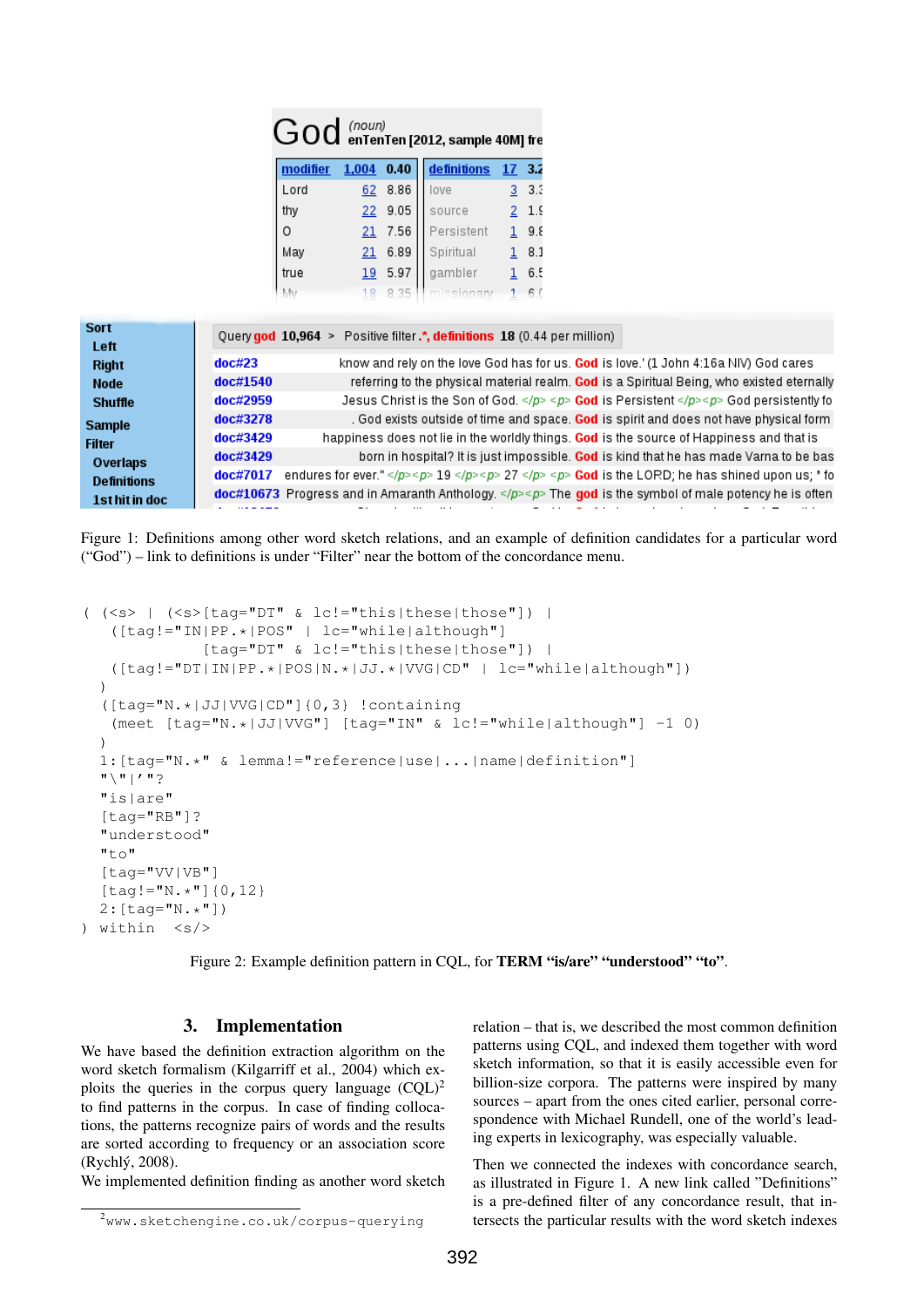| $\rm{God}$ (noun)<br>$\rm{G}$ on Ten Ten [2012, sample 40M] fre |  |
|-----------------------------------------------------------------|--|
|                                                                 |  |

|          |    |           | modifier 1,004 0.40 definitions 17 3.2 |           |
|----------|----|-----------|----------------------------------------|-----------|
| Lord     |    | $62$ 8.86 | love                                   | 3.3.3     |
| thy      |    | 229.05    | source                                 | $2^{1.5}$ |
| $\Omega$ |    | $21$ 7.56 | Persistent                             | 19.8      |
| May      |    | 216.89    | Spiritual                              | 8.1       |
| true     | 19 | 5.97      | gambler                                | 6.5       |
|          |    |           |                                        |           |

| <b>Sort</b>        | Query god 10,964 > Positive filter .*, definitions 18 (0.44 per million) |                                                                                                     |  |  |  |
|--------------------|--------------------------------------------------------------------------|-----------------------------------------------------------------------------------------------------|--|--|--|
| Left               |                                                                          |                                                                                                     |  |  |  |
| <b>Right</b>       | doc#23                                                                   | know and rely on the love God has for us. God is love.' (1 John 4:16a NIV) God cares                |  |  |  |
| <b>Node</b>        | doc#1540                                                                 | referring to the physical material realm. God is a Spiritual Being, who existed eternally           |  |  |  |
| <b>Shuffle</b>     | doc#2959                                                                 | Jesus Christ is the Son of God. <p> God is Persistent</p> <p> God persistently fo</p>               |  |  |  |
| <b>Sample</b>      | doc#3278                                                                 | . God exists outside of time and space. God is spirit and does not have physical form               |  |  |  |
| <b>Filter</b>      | doc#3429                                                                 | happiness does not lie in the worldly things. God is the source of Happiness and that is            |  |  |  |
| <b>Overlaps</b>    | doc#3429                                                                 | born in hospital? It is just impossible. God is kind that he has made Varna to be bas               |  |  |  |
| <b>Definitions</b> | doc#7017                                                                 | endures for ever."  19 <p> 27 </p> > <p> God is the LORD; he has shined upon us; * fo</p>           |  |  |  |
| 1st hit in doc     |                                                                          | $doc#10673$ Progress and in Amaranth Anthology. < The god is the symbol of male potency he is often |  |  |  |
|                    |                                                                          |                                                                                                     |  |  |  |

Figure 1: Definitions among other word sketch relations, and an example of definition candidates for a particular word ("God") – link to definitions is under "Filter" near the bottom of the concordance menu.

```
((<s>) | (<s>[tag="DT" & lc!="this|these|those"]) |
   ([tag!="IN|PP.*|POS" | lc="while|although"]
               [tag="DT" & lc!="this|these|those"]) |
   ([tag!="DT|IN|PP.*|POS|N.*|JJ.*|VVG|CD" | lc="while|although"])
  )
  ([tag="N.*|JJ|VVG|CD"]{0,3} !containing
   (meet [tag="N.*|JJ|VVG"] [tag="IN" & lc!="while|although"] -1 0)
  )
  1:[tag="N.*" & lemma!="reference|use|...|name|definition"]
  \mathfrak{n}\setminus\mathfrak{n} | \mathfrak{m}\in\mathfrak{m}"is|are"
  [tag="RB"]?
  "understood"
  "to"
  [tag="VV|VB"]
  [tag != "N.*"] {0,12}
  2:[taq="N.*"])
) within \langle s \rangle
```
Figure 2: Example definition pattern in COL, for **TERM "is/are" "understood" "to"**.

### 3. Implementation

We have based the definition extraction algorithm on the word sketch formalism (Kilgarriff et al., 2004) which exploits the queries in the corpus query language  $(CQL)^2$ to find patterns in the corpus. In case of finding collocations, the patterns recognize pairs of words and the results are sorted according to frequency or an association score (Rychlý, 2008).

We implemented definition finding as another word sketch

relation – that is, we described the most common definition patterns using CQL, and indexed them together with word sketch information, so that it is easily accessible even for billion-size corpora. The patterns were inspired by many sources – apart from the ones cited earlier, personal correspondence with Michael Rundell, one of the world's leading experts in lexicography, was especially valuable.

Then we connected the indexes with concordance search, as illustrated in Figure 1. A new link called "Definitions" is a pre-defined filter of any concordance result, that intersects the particular results with the word sketch indexes

<sup>2</sup>www.sketchengine.co.uk/corpus-querying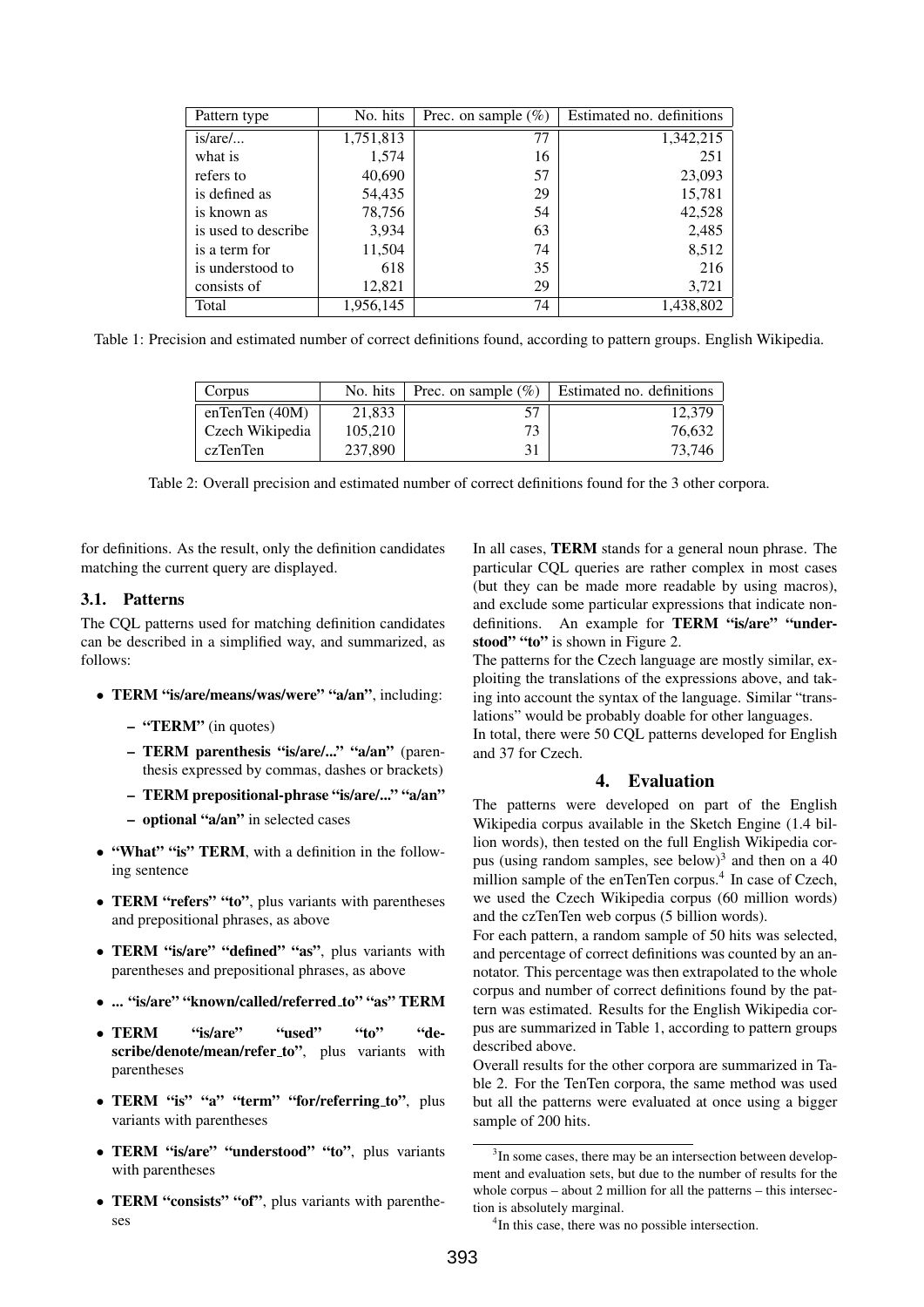| Pattern type        | No. hits  | Prec. on sample $(\%)$ | Estimated no. definitions |
|---------------------|-----------|------------------------|---------------------------|
| $is/are/$           | 1,751,813 | 77                     | 1,342,215                 |
| what is             | 1,574     | 16                     | 251                       |
| refers to           | 40,690    | 57                     | 23,093                    |
| is defined as       | 54,435    | 29                     | 15,781                    |
| is known as         | 78,756    | 54                     | 42,528                    |
| is used to describe | 3,934     | 63                     | 2,485                     |
| is a term for       | 11,504    | 74                     | 8,512                     |
| is understood to    | 618       | 35                     | 216                       |
| consists of         | 12,821    | 29                     | 3,721                     |
| Total               | 1,956,145 | 74                     | 1,438,802                 |

Table 1: Precision and estimated number of correct definitions found, according to pattern groups. English Wikipedia.

| Corpus           | No. hits | Prec. on sample $(\% )$ | <b>Estimated no. definitions</b> |
|------------------|----------|-------------------------|----------------------------------|
| enTenTen $(40M)$ | 21.833   |                         | 12.379                           |
| Czech Wikipedia  | 105.210  | 73                      | 76,632                           |
| czTenTen         | 237,890  | 31                      | 73.746                           |

Table 2: Overall precision and estimated number of correct definitions found for the 3 other corpora.

for definitions. As the result, only the definition candidates matching the current query are displayed.

#### 3.1. Patterns

The CQL patterns used for matching definition candidates can be described in a simplified way, and summarized, as follows:

- TERM "is/are/means/was/were" "a/an", including:
	- "TERM" (in quotes)
	- TERM parenthesis "is/are/..." "a/an" (parenthesis expressed by commas, dashes or brackets)
	- TERM prepositional-phrase "is/are/..." "a/an"
	- optional "a/an" in selected cases
- "What" "is" TERM, with a definition in the following sentence
- TERM "refers" "to", plus variants with parentheses and prepositional phrases, as above
- TERM "is/are" "defined" "as", plus variants with parentheses and prepositional phrases, as above
- ... "is/are" "known/called/referred\_to" "as" TERM
- TERM "is/are" "used" "to" "describe/denote/mean/refer\_to", plus variants with parentheses
- TERM "is" "a" "term" "for/referring\_to", plus variants with parentheses
- TERM "is/are" "understood" "to", plus variants with parentheses
- TERM "consists" "of", plus variants with parentheses

In all cases, TERM stands for a general noun phrase. The particular CQL queries are rather complex in most cases (but they can be made more readable by using macros), and exclude some particular expressions that indicate nondefinitions. An example for **TERM** "is/are" "understood" "to" is shown in Figure 2.

The patterns for the Czech language are mostly similar, exploiting the translations of the expressions above, and taking into account the syntax of the language. Similar "translations" would be probably doable for other languages.

In total, there were 50 CQL patterns developed for English and 37 for Czech.

#### 4. Evaluation

The patterns were developed on part of the English Wikipedia corpus available in the Sketch Engine (1.4 billion words), then tested on the full English Wikipedia corpus (using random samples, see below) $3$  and then on a 40 million sample of the enTenTen corpus.<sup>4</sup> In case of Czech, we used the Czech Wikipedia corpus (60 million words) and the czTenTen web corpus (5 billion words).

For each pattern, a random sample of 50 hits was selected, and percentage of correct definitions was counted by an annotator. This percentage was then extrapolated to the whole corpus and number of correct definitions found by the pattern was estimated. Results for the English Wikipedia corpus are summarized in Table 1, according to pattern groups described above.

Overall results for the other corpora are summarized in Table 2. For the TenTen corpora, the same method was used but all the patterns were evaluated at once using a bigger sample of 200 hits.

<sup>&</sup>lt;sup>3</sup>In some cases, there may be an intersection between development and evaluation sets, but due to the number of results for the whole corpus – about 2 million for all the patterns – this intersection is absolutely marginal.

<sup>&</sup>lt;sup>4</sup>In this case, there was no possible intersection.